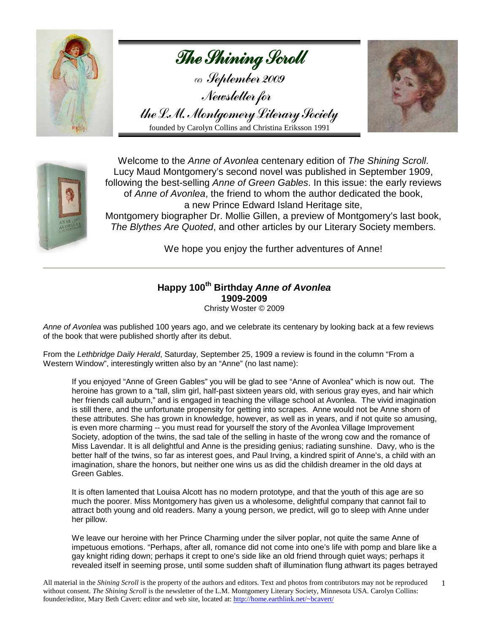

The Shining Scroll (C) September 2009 Newsletter for the L.M. Montgomery Literary Society founded by Carolyn Collins and Christina Eriksson 1991





Welcome to the Anne of Avonlea centenary edition of The Shining Scroll. Lucy Maud Montgomery's second novel was published in September 1909, following the best-selling Anne of Green Gables. In this issue: the early reviews of Anne of Avonlea, the friend to whom the author dedicated the book, a new Prince Edward Island Heritage site, Montgomery biographer Dr. Mollie Gillen, a preview of Montgomery's last book,

The Blythes Are Quoted, and other articles by our Literary Society members.

We hope you enjoy the further adventures of Anne!

# **Happy 100th Birthday Anne of Avonlea 1909-2009**

Christy Woster © 2009

Anne of Avonlea was published 100 years ago, and we celebrate its centenary by looking back at a few reviews of the book that were published shortly after its debut.

From the Lethbridge Daily Herald, Saturday, September 25, 1909 a review is found in the column "From a Western Window", interestingly written also by an "Anne" (no last name):

If you enjoyed "Anne of Green Gables" you will be glad to see "Anne of Avonlea" which is now out. The heroine has grown to a "tall, slim girl, half-past sixteen years old, with serious gray eyes, and hair which her friends call auburn," and is engaged in teaching the village school at Avonlea. The vivid imagination is still there, and the unfortunate propensity for getting into scrapes. Anne would not be Anne shorn of these attributes. She has grown in knowledge, however, as well as in years, and if not quite so amusing, is even more charming -- you must read for yourself the story of the Avonlea Village Improvement Society, adoption of the twins, the sad tale of the selling in haste of the wrong cow and the romance of Miss Lavendar. It is all delightful and Anne is the presiding genius; radiating sunshine. Davy, who is the better half of the twins, so far as interest goes, and Paul Irving, a kindred spirit of Anne's, a child with an imagination, share the honors, but neither one wins us as did the childish dreamer in the old days at Green Gables.

It is often lamented that Louisa Alcott has no modern prototype, and that the youth of this age are so much the poorer. Miss Montgomery has given us a wholesome, delightful company that cannot fail to attract both young and old readers. Many a young person, we predict, will go to sleep with Anne under her pillow.

We leave our heroine with her Prince Charming under the silver poplar, not quite the same Anne of impetuous emotions. "Perhaps, after all, romance did not come into one's life with pomp and blare like a gay knight riding down; perhaps it crept to one's side like an old friend through quiet ways; perhaps it revealed itself in seeming prose, until some sudden shaft of illumination flung athwart its pages betrayed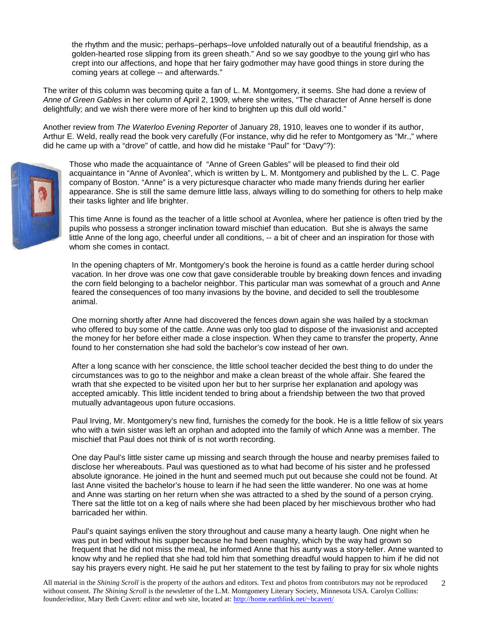the rhythm and the music; perhaps–perhaps–love unfolded naturally out of a beautiful friendship, as a golden-hearted rose slipping from its green sheath." And so we say goodbye to the young girl who has crept into our affections, and hope that her fairy godmother may have good things in store during the coming years at college -- and afterwards."

The writer of this column was becoming quite a fan of L. M. Montgomery, it seems. She had done a review of Anne of Green Gables in her column of April 2, 1909, where she writes, "The character of Anne herself is done delightfully; and we wish there were more of her kind to brighten up this dull old world."

Another review from The Waterloo Evening Reporter of January 28, 1910, leaves one to wonder if its author, Arthur E. Weld, really read the book very carefully (For instance, why did he refer to Montgomery as "Mr.," where did he came up with a "drove" of cattle, and how did he mistake "Paul" for "Davy"?):



Those who made the acquaintance of "Anne of Green Gables" will be pleased to find their old acquaintance in "Anne of Avonlea", which is written by L. M. Montgomery and published by the L. C. Page company of Boston. "Anne" is a very picturesque character who made many friends during her earlier appearance. She is still the same demure little lass, always willing to do something for others to help make their tasks lighter and life brighter.

This time Anne is found as the teacher of a little school at Avonlea, where her patience is often tried by the pupils who possess a stronger inclination toward mischief than education. But she is always the same little Anne of the long ago, cheerful under all conditions, -- a bit of cheer and an inspiration for those with whom she comes in contact.

In the opening chapters of Mr. Montgomery's book the heroine is found as a cattle herder during school vacation. In her drove was one cow that gave considerable trouble by breaking down fences and invading the corn field belonging to a bachelor neighbor. This particular man was somewhat of a grouch and Anne feared the consequences of too many invasions by the bovine, and decided to sell the troublesome animal.

One morning shortly after Anne had discovered the fences down again she was hailed by a stockman who offered to buy some of the cattle. Anne was only too glad to dispose of the invasionist and accepted the money for her before either made a close inspection. When they came to transfer the property, Anne found to her consternation she had sold the bachelor's cow instead of her own.

After a long scance with her conscience, the little school teacher decided the best thing to do under the circumstances was to go to the neighbor and make a clean breast of the whole affair. She feared the wrath that she expected to be visited upon her but to her surprise her explanation and apology was accepted amicably. This little incident tended to bring about a friendship between the two that proved mutually advantageous upon future occasions.

Paul Irving, Mr. Montgomery's new find, furnishes the comedy for the book. He is a little fellow of six years who with a twin sister was left an orphan and adopted into the family of which Anne was a member. The mischief that Paul does not think of is not worth recording.

One day Paul's little sister came up missing and search through the house and nearby premises failed to disclose her whereabouts. Paul was questioned as to what had become of his sister and he professed absolute ignorance. He joined in the hunt and seemed much put out because she could not be found. At last Anne visited the bachelor's house to learn if he had seen the little wanderer. No one was at home and Anne was starting on her return when she was attracted to a shed by the sound of a person crying. There sat the little tot on a keg of nails where she had been placed by her mischievous brother who had barricaded her within.

Paul's quaint sayings enliven the story throughout and cause many a hearty laugh. One night when he was put in bed without his supper because he had been naughty, which by the way had grown so frequent that he did not miss the meal, he informed Anne that his aunty was a story-teller. Anne wanted to know why and he replied that she had told him that something dreadful would happen to him if he did not say his prayers every night. He said he put her statement to the test by failing to pray for six whole nights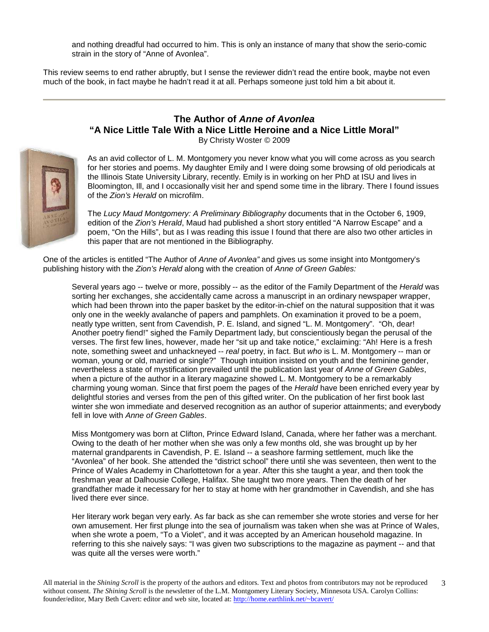and nothing dreadful had occurred to him. This is only an instance of many that show the serio-comic strain in the story of "Anne of Avonlea".

This review seems to end rather abruptly, but I sense the reviewer didn't read the entire book, maybe not even much of the book, in fact maybe he hadn't read it at all. Perhaps someone just told him a bit about it.

# **The Author of Anne of Avonlea "A Nice Little Tale With a Nice Little Heroine and a Nice Little Moral"**

By Christy Woster © 2009

As an avid collector of L. M. Montgomery you never know what you will come across as you search for her stories and poems. My daughter Emily and I were doing some browsing of old periodicals at the Illinois State University Library, recently. Emily is in working on her PhD at ISU and lives in Bloomington, Ill, and I occasionally visit her and spend some time in the library. There I found issues of the Zion's Herald on microfilm.

The Lucy Maud Montgomery: A Preliminary Bibliography documents that in the October 6, 1909, edition of the Zion's Herald, Maud had published a short story entitled "A Narrow Escape" and a poem, "On the Hills", but as I was reading this issue I found that there are also two other articles in this paper that are not mentioned in the Bibliography.

One of the articles is entitled "The Author of Anne of Avonlea" and gives us some insight into Montgomery's publishing history with the Zion's Herald along with the creation of Anne of Green Gables:

Several years ago -- twelve or more, possibly -- as the editor of the Family Department of the Herald was sorting her exchanges, she accidentally came across a manuscript in an ordinary newspaper wrapper, which had been thrown into the paper basket by the editor-in-chief on the natural supposition that it was only one in the weekly avalanche of papers and pamphlets. On examination it proved to be a poem, neatly type written, sent from Cavendish, P. E. Island, and signed "L. M. Montgomery". "Oh, dear! Another poetry fiend!" sighed the Family Department lady, but conscientiously began the perusal of the verses. The first few lines, however, made her "sit up and take notice," exclaiming: "Ah! Here is a fresh note, something sweet and unhackneyed -- real poetry, in fact. But who is L. M. Montgomery -- man or woman, young or old, married or single?" Though intuition insisted on youth and the feminine gender, nevertheless a state of mystification prevailed until the publication last year of Anne of Green Gables, when a picture of the author in a literary magazine showed L. M. Montgomery to be a remarkably charming young woman. Since that first poem the pages of the *Herald* have been enriched every year by delightful stories and verses from the pen of this gifted writer. On the publication of her first book last winter she won immediate and deserved recognition as an author of superior attainments; and everybody fell in love with Anne of Green Gables.

Miss Montgomery was born at Clifton, Prince Edward Island, Canada, where her father was a merchant. Owing to the death of her mother when she was only a few months old, she was brought up by her maternal grandparents in Cavendish, P. E. Island -- a seashore farming settlement, much like the "Avonlea" of her book. She attended the "district school" there until she was seventeen, then went to the Prince of Wales Academy in Charlottetown for a year. After this she taught a year, and then took the freshman year at Dalhousie College, Halifax. She taught two more years. Then the death of her grandfather made it necessary for her to stay at home with her grandmother in Cavendish, and she has lived there ever since.

Her literary work began very early. As far back as she can remember she wrote stories and verse for her own amusement. Her first plunge into the sea of journalism was taken when she was at Prince of Wales, when she wrote a poem, "To a Violet", and it was accepted by an American household magazine. In referring to this she naively says: "I was given two subscriptions to the magazine as payment -- and that was quite all the verses were worth."

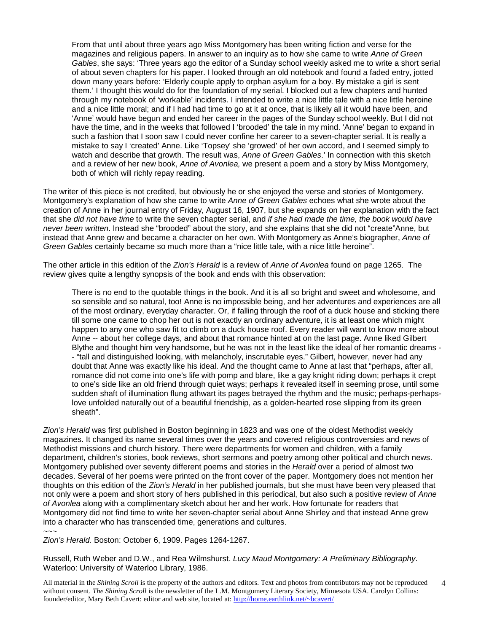From that until about three years ago Miss Montgomery has been writing fiction and verse for the magazines and religious papers. In answer to an inquiry as to how she came to write Anne of Green Gables, she says: 'Three years ago the editor of a Sunday school weekly asked me to write a short serial of about seven chapters for his paper. I looked through an old notebook and found a faded entry, jotted down many years before: 'Elderly couple apply to orphan asylum for a boy. By mistake a girl is sent them.' I thought this would do for the foundation of my serial. I blocked out a few chapters and hunted through my notebook of 'workable' incidents. I intended to write a nice little tale with a nice little heroine and a nice little moral; and if I had had time to go at it at once, that is likely all it would have been, and 'Anne' would have begun and ended her career in the pages of the Sunday school weekly. But I did not have the time, and in the weeks that followed I 'brooded' the tale in my mind. 'Anne' began to expand in such a fashion that I soon saw I could never confine her career to a seven-chapter serial. It is really a mistake to say I 'created' Anne. Like 'Topsey' she 'growed' of her own accord, and I seemed simply to watch and describe that growth. The result was, Anne of Green Gables.' In connection with this sketch and a review of her new book, Anne of Avonlea, we present a poem and a story by Miss Montgomery, both of which will richly repay reading.

The writer of this piece is not credited, but obviously he or she enjoyed the verse and stories of Montgomery. Montgomery's explanation of how she came to write Anne of Green Gables echoes what she wrote about the creation of Anne in her journal entry of Friday, August 16, 1907, but she expands on her explanation with the fact that she did not have time to write the seven chapter serial, and if she had made the time, the book would have never been written. Instead she "brooded" about the story, and she explains that she did not "create"Anne, but instead that Anne grew and became a character on her own. With Montgomery as Anne's biographer, Anne of Green Gables certainly became so much more than a "nice little tale, with a nice little heroine".

The other article in this edition of the Zion's Herald is a review of Anne of Avonlea found on page 1265. The review gives quite a lengthy synopsis of the book and ends with this observation:

There is no end to the quotable things in the book. And it is all so bright and sweet and wholesome, and so sensible and so natural, too! Anne is no impossible being, and her adventures and experiences are all of the most ordinary, everyday character. Or, if falling through the roof of a duck house and sticking there till some one came to chop her out is not exactly an ordinary adventure, it is at least one which might happen to any one who saw fit to climb on a duck house roof. Every reader will want to know more about Anne -- about her college days, and about that romance hinted at on the last page. Anne liked Gilbert Blythe and thought him very handsome, but he was not in the least like the ideal of her romantic dreams - - "tall and distinguished looking, with melancholy, inscrutable eyes." Gilbert, however, never had any doubt that Anne was exactly like his ideal. And the thought came to Anne at last that "perhaps, after all, romance did not come into one's life with pomp and blare, like a gay knight riding down; perhaps it crept to one's side like an old friend through quiet ways; perhaps it revealed itself in seeming prose, until some sudden shaft of illumination flung athwart its pages betrayed the rhythm and the music; perhaps-perhapslove unfolded naturally out of a beautiful friendship, as a golden-hearted rose slipping from its green sheath".

Zion's Herald was first published in Boston beginning in 1823 and was one of the oldest Methodist weekly magazines. It changed its name several times over the years and covered religious controversies and news of Methodist missions and church history. There were departments for women and children, with a family department, children's stories, book reviews, short sermons and poetry among other political and church news. Montgomery published over seventy different poems and stories in the Herald over a period of almost two decades. Several of her poems were printed on the front cover of the paper. Montgomery does not mention her thoughts on this edition of the Zion's Herald in her published journals, but she must have been very pleased that not only were a poem and short story of hers published in this periodical, but also such a positive review of Anne of Avonlea along with a complimentary sketch about her and her work. How fortunate for readers that Montgomery did not find time to write her seven-chapter serial about Anne Shirley and that instead Anne grew into a character who has transcended time, generations and cultures.

 $\sim\sim\sim$ Zion's Herald. Boston: October 6, 1909. Pages 1264-1267.

Russell, Ruth Weber and D.W., and Rea Wilmshurst. Lucy Maud Montgomery: A Preliminary Bibliography. Waterloo: University of Waterloo Library, 1986.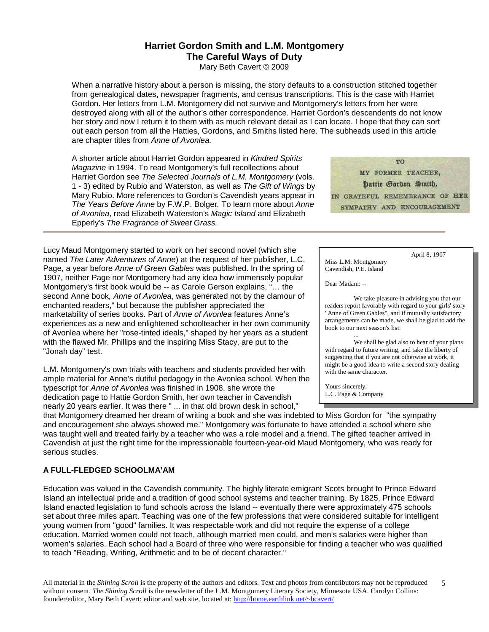# **Harriet Gordon Smith and L.M. Montgomery The Careful Ways of Duty**

Mary Beth Cavert © 2009

When a narrative history about a person is missing, the story defaults to a construction stitched together from genealogical dates, newspaper fragments, and census transcriptions. This is the case with Harriet Gordon. Her letters from L.M. Montgomery did not survive and Montgomery's letters from her were destroyed along with all of the author's other correspondence. Harriet Gordon's descendents do not know her story and now I return it to them with as much relevant detail as I can locate. I hope that they can sort out each person from all the Hatties, Gordons, and Smiths listed here. The subheads used in this article are chapter titles from Anne of Avonlea.

A shorter article about Harriet Gordon appeared in Kindred Spirits Magazine in 1994. To read Montgomery's full recollections about Harriet Gordon see The Selected Journals of L.M. Montgomery (vols. 1 - 3) edited by Rubio and Waterston, as well as The Gift of Wings by Mary Rubio. More references to Gordon's Cavendish years appear in The Years Before Anne by F.W.P. Bolger. To learn more about Anne of Avonlea, read Elizabeth Waterston's Magic Island and Elizabeth Epperly's The Fragrance of Sweet Grass.

TO MY FORMER TEACHER, Dattie Gordon Smith, IN GRATEFUL REMEMBRANCE OF HER SYMPATHY AND ENCOURAGEMENT

Lucy Maud Montgomery started to work on her second novel (which she named The Later Adventures of Anne) at the request of her publisher, L.C. Page, a year before Anne of Green Gables was published. In the spring of 1907, neither Page nor Montgomery had any idea how immensely popular Montgomery's first book would be -- as Carole Gerson explains, "… the second Anne book, Anne of Avonlea, was generated not by the clamour of enchanted readers," but because the publisher appreciated the marketability of series books. Part of Anne of Avonlea features Anne's experiences as a new and enlightened schoolteacher in her own community of Avonlea where her "rose-tinted ideals," shaped by her years as a student with the flawed Mr. Phillips and the inspiring Miss Stacy, are put to the "Jonah day" test.

L.M. Montgomery's own trials with teachers and students provided her with ample material for Anne's dutiful pedagogy in the Avonlea school. When the typescript for Anne of Avonlea was finished in 1908, she wrote the dedication page to Hattie Gordon Smith, her own teacher in Cavendish nearly 20 years earlier. It was there " ... in that old brown desk in school,"

April 8, 1907

Miss L.M. Montgomery Cavendish, P.E. Island

Dear Madam: --

We take pleasure in advising you that our readers report favorably with regard to your girls' story "Anne of Green Gables", and if mutually satisfactory arrangements can be made, we shall be glad to add the book to our next season's list.

 ... We shall be glad also to hear of your plans with regard to future writing, and take the liberty of suggesting that if you are not otherwise at work, it might be a good idea to write a second story dealing with the same character.

Yours sincerely, L.C. Page & Company

that Montgomery dreamed her dream of writing a book and she was indebted to Miss Gordon for "the sympathy and encouragement she always showed me." Montgomery was fortunate to have attended a school where she was taught well and treated fairly by a teacher who was a role model and a friend. The gifted teacher arrived in Cavendish at just the right time for the impressionable fourteen-year-old Maud Montgomery, who was ready for serious studies.

## **A FULL-FLEDGED SCHOOLMA'AM**

Education was valued in the Cavendish community. The highly literate emigrant Scots brought to Prince Edward Island an intellectual pride and a tradition of good school systems and teacher training. By 1825, Prince Edward Island enacted legislation to fund schools across the Island -- eventually there were approximately 475 schools set about three miles apart. Teaching was one of the few professions that were considered suitable for intelligent young women from "good" families. It was respectable work and did not require the expense of a college education. Married women could not teach, although married men could, and men's salaries were higher than women's salaries. Each school had a Board of three who were responsible for finding a teacher who was qualified to teach "Reading, Writing, Arithmetic and to be of decent character."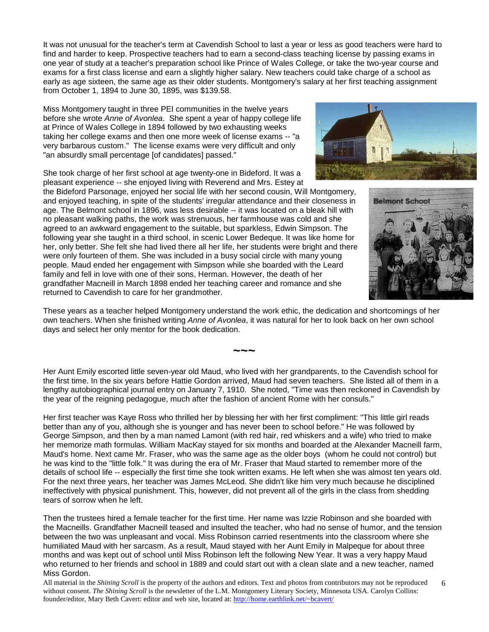It was not unusual for the teacher's term at Cavendish School to last a year or less as good teachers were hard to find and harder to keep. Prospective teachers had to earn a second-class teaching license by passing exams in one year of study at a teacher's preparation school like Prince of Wales College, or take the two-year course and exams for a first class license and earn a slightly higher salary. New teachers could take charge of a school as early as age sixteen, the same age as their older students. Montgomery's salary at her first teaching assignment from October 1, 1894 to June 30, 1895, was \$139.58.

Miss Montgomery taught in three PEI communities in the twelve years before she wrote Anne of Avonlea. She spent a year of happy college life at Prince of Wales College in 1894 followed by two exhausting weeks taking her college exams and then one more week of license exams -- "a very barbarous custom." The license exams were very difficult and only "an absurdly small percentage [of candidates] passed."

She took charge of her first school at age twenty-one in Bideford. It was a pleasant experience -- she enjoyed living with Reverend and Mrs. Estey at

the Bideford Parsonage, enjoyed her social life with her second cousin, Will Montgomery, and enjoyed teaching, in spite of the students' irregular attendance and their closeness in age. The Belmont school in 1896, was less desirable -- it was located on a bleak hill with no pleasant walking paths, the work was strenuous, her farmhouse was cold and she agreed to an awkward engagement to the suitable, but sparkless, Edwin Simpson. The following year she taught in a third school, in scenic Lower Bedeque. It was like home for her, only better. She felt she had lived there all her life, her students were bright and there were only fourteen of them. She was included in a busy social circle with many young people. Maud ended her engagement with Simpson while she boarded with the Leard family and fell in love with one of their sons, Herman. However, the death of her grandfather Macneill in March 1898 ended her teaching career and romance and she returned to Cavendish to care for her grandmother.





These years as a teacher helped Montgomery understand the work ethic, the dedication and shortcomings of her own teachers. When she finished writing Anne of Avonlea, it was natural for her to look back on her own school days and select her only mentor for the book dedication.

**~~~** 

Her Aunt Emily escorted little seven-year old Maud, who lived with her grandparents, to the Cavendish school for the first time. In the six years before Hattie Gordon arrived, Maud had seven teachers. She listed all of them in a lengthy autobiographical journal entry on January 7, 1910. She noted, "Time was then reckoned in Cavendish by the year of the reigning pedagogue, much after the fashion of ancient Rome with her consuls."

Her first teacher was Kaye Ross who thrilled her by blessing her with her first compliment: "This little girl reads better than any of you, although she is younger and has never been to school before." He was followed by George Simpson, and then by a man named Lamont (with red hair, red whiskers and a wife) who tried to make her memorize math formulas. William MacKay stayed for six months and boarded at the Alexander Macneill farm, Maud's home. Next came Mr. Fraser, who was the same age as the older boys (whom he could not control) but he was kind to the "little folk." It was during the era of Mr. Fraser that Maud started to remember more of the details of school life -- especially the first time she took written exams. He left when she was almost ten years old. For the next three years, her teacher was James McLeod. She didn't like him very much because he disciplined ineffectively with physical punishment. This, however, did not prevent all of the girls in the class from shedding tears of sorrow when he left.

Then the trustees hired a female teacher for the first time. Her name was Izzie Robinson and she boarded with the Macneills. Grandfather Macneill teased and insulted the teacher, who had no sense of humor, and the tension between the two was unpleasant and vocal. Miss Robinson carried resentments into the classroom where she humiliated Maud with her sarcasm. As a result, Maud stayed with her Aunt Emily in Malpeque for about three months and was kept out of school until Miss Robinson left the following New Year. It was a very happy Maud who returned to her friends and school in 1889 and could start out with a clean slate and a new teacher, named Miss Gordon.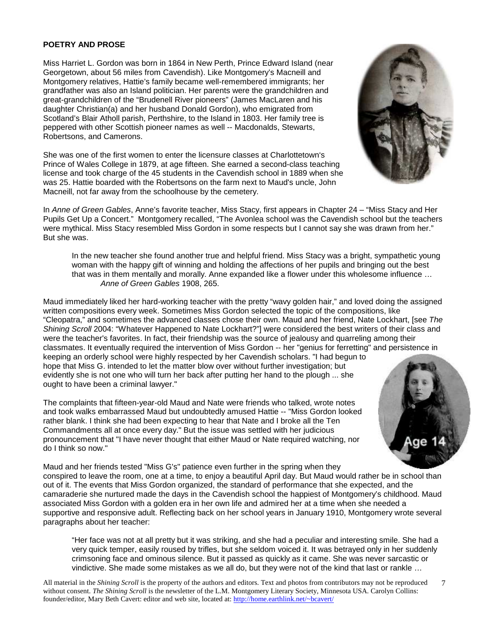#### **POETRY AND PROSE**

Miss Harriet L. Gordon was born in 1864 in New Perth, Prince Edward Island (near Georgetown, about 56 miles from Cavendish). Like Montgomery's Macneill and Montgomery relatives, Hattie's family became well-remembered immigrants; her grandfather was also an Island politician. Her parents were the grandchildren and great-grandchildren of the "Brudenell River pioneers" (James MacLaren and his daughter Christian(a) and her husband Donald Gordon), who emigrated from Scotland's Blair Atholl parish, Perthshire, to the Island in 1803. Her family tree is peppered with other Scottish pioneer names as well -- Macdonalds, Stewarts, Robertsons, and Camerons.

She was one of the first women to enter the licensure classes at Charlottetown's Prince of Wales College in 1879, at age fifteen. She earned a second-class teaching license and took charge of the 45 students in the Cavendish school in 1889 when she was 25. Hattie boarded with the Robertsons on the farm next to Maud's uncle, John Macneill, not far away from the schoolhouse by the cemetery.



In the new teacher she found another true and helpful friend. Miss Stacy was a bright, sympathetic young woman with the happy gift of winning and holding the affections of her pupils and bringing out the best that was in them mentally and morally. Anne expanded like a flower under this wholesome influence … Anne of Green Gables 1908, 265.

Maud immediately liked her hard-working teacher with the pretty "wavy golden hair," and loved doing the assigned written compositions every week. Sometimes Miss Gordon selected the topic of the compositions, like "Cleopatra," and sometimes the advanced classes chose their own. Maud and her friend, Nate Lockhart, [see The Shining Scroll 2004: "Whatever Happened to Nate Lockhart?"] were considered the best writers of their class and were the teacher's favorites. In fact, their friendship was the source of jealousy and quarreling among their classmates. It eventually required the intervention of Miss Gordon -- her "genius for ferretting" and persistence in keeping an orderly school were highly respected by her Cavendish scholars. "I had begun to hope that Miss G. intended to let the matter blow over without further investigation; but evidently she is not one who will turn her back after putting her hand to the plough ... she ought to have been a criminal lawyer."

The complaints that fifteen-year-old Maud and Nate were friends who talked, wrote notes and took walks embarrassed Maud but undoubtedly amused Hattie -- "Miss Gordon looked rather blank. I think she had been expecting to hear that Nate and I broke all the Ten Commandments all at once every day." But the issue was settled with her judicious pronouncement that "I have never thought that either Maud or Nate required watching, nor do I think so now."



Maud and her friends tested "Miss G's" patience even further in the spring when they conspired to leave the room, one at a time, to enjoy a beautiful April day. But Maud would rather be in school than out of it. The events that Miss Gordon organized, the standard of performance that she expected, and the camaraderie she nurtured made the days in the Cavendish school the happiest of Montgomery's childhood. Maud associated Miss Gordon with a golden era in her own life and admired her at a time when she needed a supportive and responsive adult. Reflecting back on her school years in January 1910, Montgomery wrote several paragraphs about her teacher:

"Her face was not at all pretty but it was striking, and she had a peculiar and interesting smile. She had a very quick temper, easily roused by trifles, but she seldom voiced it. It was betrayed only in her suddenly crimsoning face and ominous silence. But it passed as quickly as it came. She was never sarcastic or vindictive. She made some mistakes as we all do, but they were not of the kind that last or rankle …

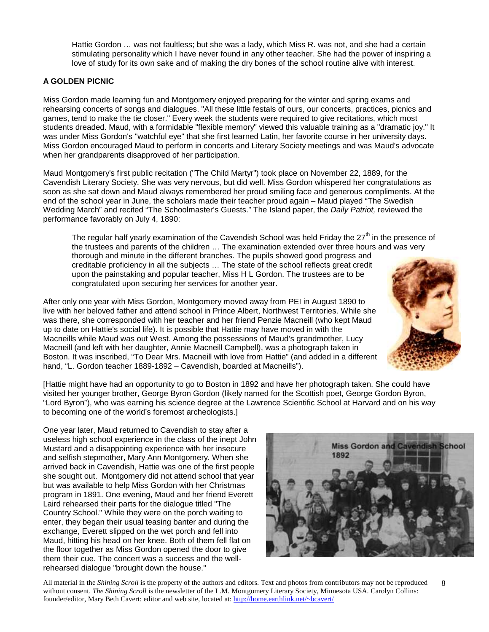Hattie Gordon … was not faultless; but she was a lady, which Miss R. was not, and she had a certain stimulating personality which I have never found in any other teacher. She had the power of inspiring a love of study for its own sake and of making the dry bones of the school routine alive with interest.

## **A GOLDEN PICNIC**

Miss Gordon made learning fun and Montgomery enjoyed preparing for the winter and spring exams and rehearsing concerts of songs and dialogues. "All these little festals of ours, our concerts, practices, picnics and games, tend to make the tie closer." Every week the students were required to give recitations, which most students dreaded. Maud, with a formidable "flexible memory" viewed this valuable training as a "dramatic joy." It was under Miss Gordon's "watchful eye" that she first learned Latin, her favorite course in her university days. Miss Gordon encouraged Maud to perform in concerts and Literary Society meetings and was Maud's advocate when her grandparents disapproved of her participation.

Maud Montgomery's first public recitation ("The Child Martyr") took place on November 22, 1889, for the Cavendish Literary Society. She was very nervous, but did well. Miss Gordon whispered her congratulations as soon as she sat down and Maud always remembered her proud smiling face and generous compliments. At the end of the school year in June, the scholars made their teacher proud again – Maud played "The Swedish Wedding March" and recited "The Schoolmaster's Guests." The Island paper, the Daily Patriot, reviewed the performance favorably on July 4, 1890:

The regular half yearly examination of the Cavendish School was held Friday the  $27<sup>th</sup>$  in the presence of the trustees and parents of the children … The examination extended over three hours and was very thorough and minute in the different branches. The pupils showed good progress and creditable proficiency in all the subjects … The state of the school reflects great credit upon the painstaking and popular teacher, Miss H L Gordon. The trustees are to be congratulated upon securing her services for another year.

After only one year with Miss Gordon, Montgomery moved away from PEI in August 1890 to live with her beloved father and attend school in Prince Albert, Northwest Territories. While she was there, she corresponded with her teacher and her friend Penzie Macneill (who kept Maud up to date on Hattie's social life). It is possible that Hattie may have moved in with the Macneills while Maud was out West. Among the possessions of Maud's grandmother, Lucy Macneill (and left with her daughter, Annie Macneill Campbell), was a photograph taken in Boston. It was inscribed, "To Dear Mrs. Macneill with love from Hattie" (and added in a different hand, "L. Gordon teacher 1889-1892 – Cavendish, boarded at Macneills").

[Hattie might have had an opportunity to go to Boston in 1892 and have her photograph taken. She could have visited her younger brother, George Byron Gordon (likely named for the Scottish poet, George Gordon Byron, "Lord Byron"), who was earning his science degree at the Lawrence Scientific School at Harvard and on his way to becoming one of the world's foremost archeologists.]

One year later, Maud returned to Cavendish to stay after a useless high school experience in the class of the inept John Mustard and a disappointing experience with her insecure and selfish stepmother, Mary Ann Montgomery. When she arrived back in Cavendish, Hattie was one of the first people she sought out. Montgomery did not attend school that year but was available to help Miss Gordon with her Christmas program in 1891. One evening, Maud and her friend Everett Laird rehearsed their parts for the dialogue titled "The Country School." While they were on the porch waiting to enter, they began their usual teasing banter and during the exchange, Everett slipped on the wet porch and fell into Maud, hitting his head on her knee. Both of them fell flat on the floor together as Miss Gordon opened the door to give them their cue. The concert was a success and the wellrehearsed dialogue "brought down the house."

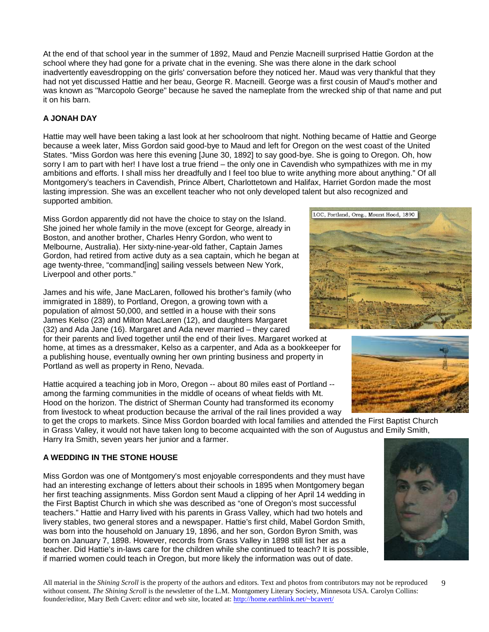At the end of that school year in the summer of 1892, Maud and Penzie Macneill surprised Hattie Gordon at the school where they had gone for a private chat in the evening. She was there alone in the dark school inadvertently eavesdropping on the girls' conversation before they noticed her. Maud was very thankful that they had not yet discussed Hattie and her beau, George R. Macneill. George was a first cousin of Maud's mother and was known as "Marcopolo George" because he saved the nameplate from the wrecked ship of that name and put it on his barn.

## **A JONAH DAY**

Hattie may well have been taking a last look at her schoolroom that night. Nothing became of Hattie and George because a week later, Miss Gordon said good-bye to Maud and left for Oregon on the west coast of the United States. "Miss Gordon was here this evening [June 30, 1892] to say good-bye. She is going to Oregon. Oh, how sorry I am to part with her! I have lost a true friend – the only one in Cavendish who sympathizes with me in my ambitions and efforts. I shall miss her dreadfully and I feel too blue to write anything more about anything." Of all Montgomery's teachers in Cavendish, Prince Albert, Charlottetown and Halifax, Harriet Gordon made the most lasting impression. She was an excellent teacher who not only developed talent but also recognized and supported ambition.

Miss Gordon apparently did not have the choice to stay on the Island. She joined her whole family in the move (except for George, already in Boston, and another brother, Charles Henry Gordon, who went to Melbourne, Australia). Her sixty-nine-year-old father, Captain James Gordon, had retired from active duty as a sea captain, which he began at age twenty-three, "command[ing] sailing vessels between New York, Liverpool and other ports."

James and his wife, Jane MacLaren, followed his brother's family (who immigrated in 1889), to Portland, Oregon, a growing town with a population of almost 50,000, and settled in a house with their sons James Kelso (23) and Milton MacLaren (12), and daughters Margaret (32) and Ada Jane (16). Margaret and Ada never married – they cared for their parents and lived together until the end of their lives. Margaret worked at home, at times as a dressmaker, Kelso as a carpenter, and Ada as a bookkeeper for a publishing house, eventually owning her own printing business and property in Portland as well as property in Reno, Nevada.

Hattie acquired a teaching job in Moro, Oregon -- about 80 miles east of Portland - among the farming communities in the middle of oceans of wheat fields with Mt. Hood on the horizon. The district of Sherman County had transformed its economy from livestock to wheat production because the arrival of the rail lines provided a way

to get the crops to markets. Since Miss Gordon boarded with local families and attended the First Baptist Church in Grass Valley, it would not have taken long to become acquainted with the son of Augustus and Emily Smith, Harry Ira Smith, seven years her junior and a farmer.

## **A WEDDING IN THE STONE HOUSE**

Miss Gordon was one of Montgomery's most enjoyable correspondents and they must have had an interesting exchange of letters about their schools in 1895 when Montgomery began her first teaching assignments. Miss Gordon sent Maud a clipping of her April 14 wedding in the First Baptist Church in which she was described as "one of Oregon's most successful teachers." Hattie and Harry lived with his parents in Grass Valley, which had two hotels and livery stables, two general stores and a newspaper. Hattie's first child, Mabel Gordon Smith, was born into the household on January 19, 1896, and her son, Gordon Byron Smith, was born on January 7, 1898. However, records from Grass Valley in 1898 still list her as a teacher. Did Hattie's in-laws care for the children while she continued to teach? It is possible, if married women could teach in Oregon, but more likely the information was out of date.







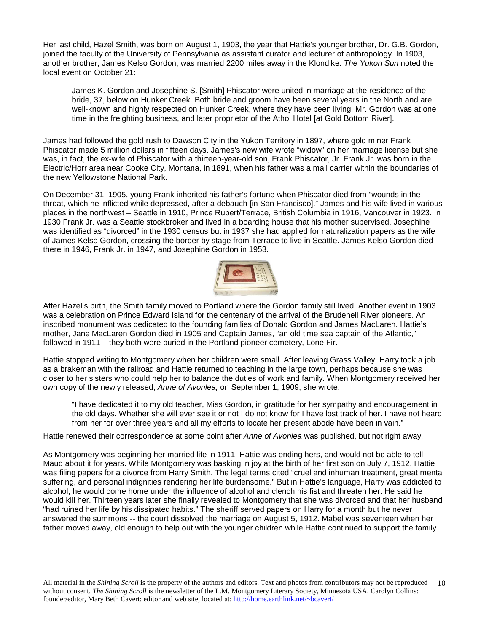Her last child, Hazel Smith, was born on August 1, 1903, the year that Hattie's younger brother, Dr. G.B. Gordon, joined the faculty of the University of Pennsylvania as assistant curator and lecturer of anthropology. In 1903, another brother, James Kelso Gordon, was married 2200 miles away in the Klondike. The Yukon Sun noted the local event on October 21:

James K. Gordon and Josephine S. [Smith] Phiscator were united in marriage at the residence of the bride, 37, below on Hunker Creek. Both bride and groom have been several years in the North and are well-known and highly respected on Hunker Creek, where they have been living. Mr. Gordon was at one time in the freighting business, and later proprietor of the Athol Hotel [at Gold Bottom River].

James had followed the gold rush to Dawson City in the Yukon Territory in 1897, where gold miner Frank Phiscator made 5 million dollars in fifteen days. James's new wife wrote "widow" on her marriage license but she was, in fact, the ex-wife of Phiscator with a thirteen-year-old son, Frank Phiscator, Jr. Frank Jr. was born in the Electric/Horr area near Cooke City, Montana, in 1891, when his father was a mail carrier within the boundaries of the new Yellowstone National Park.

On December 31, 1905, young Frank inherited his father's fortune when Phiscator died from "wounds in the throat, which he inflicted while depressed, after a debauch [in San Francisco]." James and his wife lived in various places in the northwest – Seattle in 1910, Prince Rupert/Terrace, British Columbia in 1916, Vancouver in 1923. In 1930 Frank Jr. was a Seattle stockbroker and lived in a boarding house that his mother supervised. Josephine was identified as "divorced" in the 1930 census but in 1937 she had applied for naturalization papers as the wife of James Kelso Gordon, crossing the border by stage from Terrace to live in Seattle. James Kelso Gordon died there in 1946, Frank Jr. in 1947, and Josephine Gordon in 1953.



After Hazel's birth, the Smith family moved to Portland where the Gordon family still lived. Another event in 1903 was a celebration on Prince Edward Island for the centenary of the arrival of the Brudenell River pioneers. An inscribed monument was dedicated to the founding families of Donald Gordon and James MacLaren. Hattie's mother, Jane MacLaren Gordon died in 1905 and Captain James, "an old time sea captain of the Atlantic," followed in 1911 – they both were buried in the Portland pioneer cemetery, Lone Fir.

Hattie stopped writing to Montgomery when her children were small. After leaving Grass Valley, Harry took a job as a brakeman with the railroad and Hattie returned to teaching in the large town, perhaps because she was closer to her sisters who could help her to balance the duties of work and family. When Montgomery received her own copy of the newly released, Anne of Avonlea, on September 1, 1909, she wrote:

"I have dedicated it to my old teacher, Miss Gordon, in gratitude for her sympathy and encouragement in the old days. Whether she will ever see it or not I do not know for I have lost track of her. I have not heard from her for over three years and all my efforts to locate her present abode have been in vain."

Hattie renewed their correspondence at some point after Anne of Avonlea was published, but not right away.

As Montgomery was beginning her married life in 1911, Hattie was ending hers, and would not be able to tell Maud about it for years. While Montgomery was basking in joy at the birth of her first son on July 7, 1912, Hattie was filing papers for a divorce from Harry Smith. The legal terms cited "cruel and inhuman treatment, great mental suffering, and personal indignities rendering her life burdensome." But in Hattie's language, Harry was addicted to alcohol; he would come home under the influence of alcohol and clench his fist and threaten her. He said he would kill her. Thirteen years later she finally revealed to Montgomery that she was divorced and that her husband "had ruined her life by his dissipated habits." The sheriff served papers on Harry for a month but he never answered the summons -- the court dissolved the marriage on August 5, 1912. Mabel was seventeen when her father moved away, old enough to help out with the younger children while Hattie continued to support the family.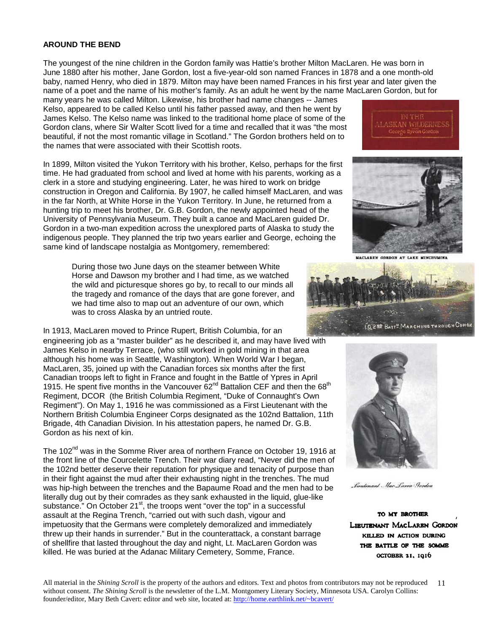#### **AROUND THE BEND**

The youngest of the nine children in the Gordon family was Hattie's brother Milton MacLaren. He was born in June 1880 after his mother, Jane Gordon, lost a five-year-old son named Frances in 1878 and a one month-old baby, named Henry, who died in 1879. Milton may have been named Frances in his first year and later given the name of a poet and the name of his mother's family. As an adult he went by the name MacLaren Gordon, but for

many years he was called Milton. Likewise, his brother had name changes -- James Kelso, appeared to be called Kelso until his father passed away, and then he went by James Kelso. The Kelso name was linked to the traditional home place of some of the Gordon clans, where Sir Walter Scott lived for a time and recalled that it was "the most beautiful, if not the most romantic village in Scotland." The Gordon brothers held on to the names that were associated with their Scottish roots.

In 1899, Milton visited the Yukon Territory with his brother, Kelso, perhaps for the first time. He had graduated from school and lived at home with his parents, working as a clerk in a store and studying engineering. Later, he was hired to work on bridge construction in Oregon and California. By 1907, he called himself MacLaren, and was in the far North, at White Horse in the Yukon Territory. In June, he returned from a hunting trip to meet his brother, Dr. G.B. Gordon, the newly appointed head of the University of Pennsylvania Museum. They built a canoe and MacLaren guided Dr. Gordon in a two-man expedition across the unexplored parts of Alaska to study the indigenous people. They planned the trip two years earlier and George, echoing the same kind of landscape nostalgia as Montgomery, remembered:

During those two June days on the steamer between White Horse and Dawson my brother and I had time, as we watched the wild and picturesque shores go by, to recall to our minds all the tragedy and romance of the days that are gone forever, and we had time also to map out an adventure of our own, which was to cross Alaska by an untried route.

In 1913, MacLaren moved to Prince Rupert, British Columbia, for an engineering job as a "master builder" as he described it, and may have lived with James Kelso in nearby Terrace, (who still worked in gold mining in that area although his home was in Seattle, Washington). When World War I began, MacLaren, 35, joined up with the Canadian forces six months after the first Canadian troops left to fight in France and fought in the Battle of Ypres in April 1915. He spent five months in the Vancouver  $\tilde{6}2^{nd}$  Battalion CEF and then the 68<sup>th</sup> Regiment, DCOR (the British Columbia Regiment, "Duke of Connaught's Own Regiment"). On May 1, 1916 he was commissioned as a First Lieutenant with the Northern British Columbia Engineer Corps designated as the 102nd Battalion, 11th Brigade, 4th Canadian Division. In his attestation papers, he named Dr. G.B. Gordon as his next of kin.

The 102<sup>nd</sup> was in the Somme River area of northern France on October 19, 1916 at the front line of the Courcelette Trench. Their war diary read, "Never did the men of the 102nd better deserve their reputation for physique and tenacity of purpose than in their fight against the mud after their exhausting night in the trenches. The mud was hip-high between the trenches and the Bapaume Road and the men had to be literally dug out by their comrades as they sank exhausted in the liquid, glue-like substance." On October 21<sup>st</sup>, the troops went "over the top" in a successful assault at the Regina Trench, "carried out with such dash, vigour and impetuosity that the Germans were completely demoralized and immediately threw up their hands in surrender." But in the counterattack, a constant barrage of shellfire that lasted throughout the day and night, Lt. MacLaren Gordon was killed. He was buried at the Adanac Military Cemetery, Somme, France.

**SKAN WHDERNESS** George Eyron Cordon









Lieutenant Mac Luren Gordon

TO MY BROTHER LIEUTENANT MACLAREN GORDON KILLED IN ACTION DURING THE BATTLE OF THE SOMME OCTOBER 21, 1916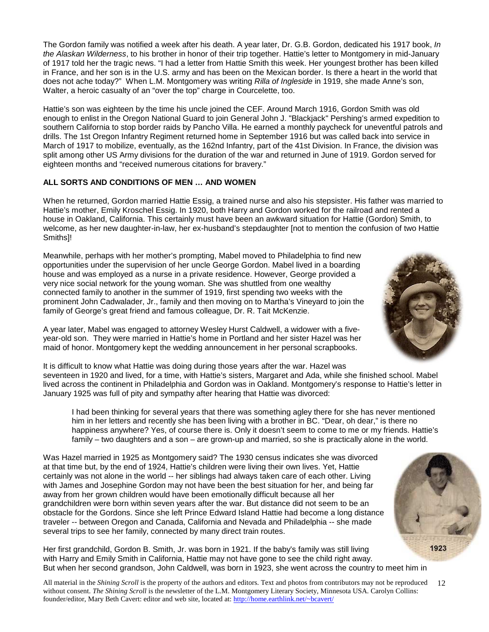The Gordon family was notified a week after his death. A year later, Dr. G.B. Gordon, dedicated his 1917 book, In the Alaskan Wilderness, to his brother in honor of their trip together. Hattie's letter to Montgomery in mid-January of 1917 told her the tragic news. "I had a letter from Hattie Smith this week. Her youngest brother has been killed in France, and her son is in the U.S. army and has been on the Mexican border. Is there a heart in the world that does not ache today?" When L.M. Montgomery was writing Rilla of Ingleside in 1919, she made Anne's son, Walter, a heroic casualty of an "over the top" charge in Courcelette, too.

Hattie's son was eighteen by the time his uncle joined the CEF. Around March 1916, Gordon Smith was old enough to enlist in the Oregon National Guard to join General John J. "Blackjack" Pershing's armed expedition to southern California to stop border raids by Pancho Villa. He earned a monthly paycheck for uneventful patrols and drills. The 1st Oregon Infantry Regiment returned home in September 1916 but was called back into service in March of 1917 to mobilize, eventually, as the 162nd Infantry, part of the 41st Division. In France, the division was split among other US Army divisions for the duration of the war and returned in June of 1919. Gordon served for eighteen months and "received numerous citations for bravery."

## **ALL SORTS AND CONDITIONS OF MEN … AND WOMEN**

When he returned, Gordon married Hattie Essig, a trained nurse and also his stepsister. His father was married to Hattie's mother, Emily Kroschel Essig. In 1920, both Harry and Gordon worked for the railroad and rented a house in Oakland, California. This certainly must have been an awkward situation for Hattie (Gordon) Smith, to welcome, as her new daughter-in-law, her ex-husband's stepdaughter [not to mention the confusion of two Hattie Smiths]!

Meanwhile, perhaps with her mother's prompting, Mabel moved to Philadelphia to find new opportunities under the supervision of her uncle George Gordon. Mabel lived in a boarding house and was employed as a nurse in a private residence. However, George provided a very nice social network for the young woman. She was shuttled from one wealthy connected family to another in the summer of 1919, first spending two weeks with the prominent John Cadwalader, Jr., family and then moving on to Martha's Vineyard to join the family of George's great friend and famous colleague, Dr. R. Tait McKenzie.



A year later, Mabel was engaged to attorney Wesley Hurst Caldwell, a widower with a fiveyear-old son. They were married in Hattie's home in Portland and her sister Hazel was her maid of honor. Montgomery kept the wedding announcement in her personal scrapbooks.

It is difficult to know what Hattie was doing during those years after the war. Hazel was seventeen in 1920 and lived, for a time, with Hattie's sisters, Margaret and Ada, while she finished school. Mabel lived across the continent in Philadelphia and Gordon was in Oakland. Montgomery's response to Hattie's letter in January 1925 was full of pity and sympathy after hearing that Hattie was divorced:

I had been thinking for several years that there was something agley there for she has never mentioned him in her letters and recently she has been living with a brother in BC. "Dear, oh dear," is there no happiness anywhere? Yes, of course there is. Only it doesn't seem to come to me or my friends. Hattie's family – two daughters and a son – are grown-up and married, so she is practically alone in the world.

Was Hazel married in 1925 as Montgomery said? The 1930 census indicates she was divorced at that time but, by the end of 1924, Hattie's children were living their own lives. Yet, Hattie certainly was not alone in the world -- her siblings had always taken care of each other. Living with James and Josephine Gordon may not have been the best situation for her, and being far away from her grown children would have been emotionally difficult because all her grandchildren were born within seven years after the war. But distance did not seem to be an obstacle for the Gordons. Since she left Prince Edward Island Hattie had become a long distance traveler -- between Oregon and Canada, California and Nevada and Philadelphia -- she made several trips to see her family, connected by many direct train routes.

Her first grandchild, Gordon B. Smith, Jr. was born in 1921. If the baby's family was still living with Harry and Emily Smith in California, Hattie may not have gone to see the child right away. But when her second grandson, John Caldwell, was born in 1923, she went across the country to meet him in

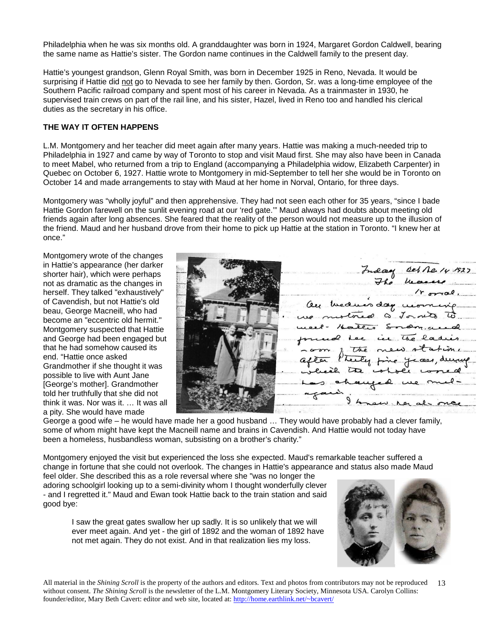Philadelphia when he was six months old. A granddaughter was born in 1924, Margaret Gordon Caldwell, bearing the same name as Hattie's sister. The Gordon name continues in the Caldwell family to the present day.

Hattie's youngest grandson, Glenn Royal Smith, was born in December 1925 in Reno, Nevada. It would be surprising if Hattie did not go to Nevada to see her family by then. Gordon, Sr. was a long-time employee of the Southern Pacific railroad company and spent most of his career in Nevada. As a trainmaster in 1930, he supervised train crews on part of the rail line, and his sister, Hazel, lived in Reno too and handled his clerical duties as the secretary in his office.

### **THE WAY IT OFTEN HAPPENS**

L.M. Montgomery and her teacher did meet again after many years. Hattie was making a much-needed trip to Philadelphia in 1927 and came by way of Toronto to stop and visit Maud first. She may also have been in Canada to meet Mabel, who returned from a trip to England (accompanying a Philadelphia widow, Elizabeth Carpenter) in Quebec on October 6, 1927. Hattie wrote to Montgomery in mid-September to tell her she would be in Toronto on October 14 and made arrangements to stay with Maud at her home in Norval, Ontario, for three days.

Montgomery was "wholly joyful" and then apprehensive. They had not seen each other for 35 years, "since I bade Hattie Gordon farewell on the sunlit evening road at our 'red gate.'" Maud always had doubts about meeting old friends again after long absences. She feared that the reality of the person would not measure up to the illusion of the friend. Maud and her husband drove from their home to pick up Hattie at the station in Toronto. "I knew her at once."

Montgomery wrote of the changes in Hattie's appearance (her darker shorter hair), which were perhaps not as dramatic as the changes in herself. They talked "exhaustively" of Cavendish, but not Hattie's old beau, George Macneill, who had become an "eccentric old hermit." Montgomery suspected that Hattie and George had been engaged but that he had somehow caused its end. "Hattie once asked Grandmother if she thought it was possible to live with Aunt Jane [George's mother]. Grandmother told her truthfully that she did not think it was. Nor was it. … It was all a pity. She would have made

|                | Inday sel ne 14.1927                                 |
|----------------|------------------------------------------------------|
|                | The necessary                                        |
|                | $r_{\text{grad}}$                                    |
|                | all wednesday working                                |
|                | we motived a Joints to.                              |
| <b>THE AND</b> | week- Hatter Sondon, and<br>forced her in the ladies |
|                | -om , the new station.                               |
|                | after l'herly time years, during                     |
|                | which the whole world                                |
|                | Las changed we met-                                  |
|                | again.<br>I know her al once                         |
|                |                                                      |

George a good wife – he would have made her a good husband … They would have probably had a clever family, some of whom might have kept the Macneill name and brains in Cavendish. And Hattie would not today have been a homeless, husbandless woman, subsisting on a brother's charity."

Montgomery enjoyed the visit but experienced the loss she expected. Maud's remarkable teacher suffered a change in fortune that she could not overlook. The changes in Hattie's appearance and status also made Maud

feel older. She described this as a role reversal where she "was no longer the adoring schoolgirl looking up to a semi-divinity whom I thought wonderfully clever - and I regretted it." Maud and Ewan took Hattie back to the train station and said good bye:

> I saw the great gates swallow her up sadly. It is so unlikely that we will ever meet again. And yet - the girl of 1892 and the woman of 1892 have not met again. They do not exist. And in that realization lies my loss.

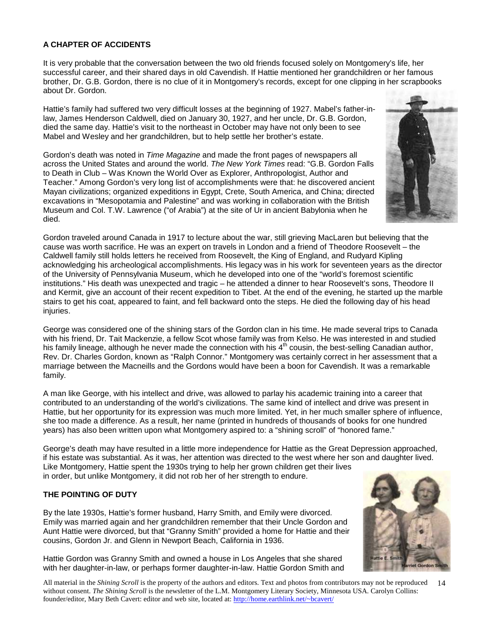## **A CHAPTER OF ACCIDENTS**

It is very probable that the conversation between the two old friends focused solely on Montgomery's life, her successful career, and their shared days in old Cavendish. If Hattie mentioned her grandchildren or her famous brother, Dr. G.B. Gordon, there is no clue of it in Montgomery's records, except for one clipping in her scrapbooks about Dr. Gordon.

Hattie's family had suffered two very difficult losses at the beginning of 1927. Mabel's father-inlaw, James Henderson Caldwell, died on January 30, 1927, and her uncle, Dr. G.B. Gordon, died the same day. Hattie's visit to the northeast in October may have not only been to see Mabel and Wesley and her grandchildren, but to help settle her brother's estate.

Gordon's death was noted in Time Magazine and made the front pages of newspapers all across the United States and around the world. The New York Times read: "G.B. Gordon Falls to Death in Club – Was Known the World Over as Explorer, Anthropologist, Author and Teacher." Among Gordon's very long list of accomplishments were that: he discovered ancient Mayan civilizations; organized expeditions in Egypt, Crete, South America, and China; directed excavations in "Mesopotamia and Palestine" and was working in collaboration with the British Museum and Col. T.W. Lawrence ("of Arabia") at the site of Ur in ancient Babylonia when he died.



Gordon traveled around Canada in 1917 to lecture about the war, still grieving MacLaren but believing that the cause was worth sacrifice. He was an expert on travels in London and a friend of Theodore Roosevelt – the Caldwell family still holds letters he received from Roosevelt, the King of England, and Rudyard Kipling acknowledging his archeological accomplishments. His legacy was in his work for seventeen years as the director of the University of Pennsylvania Museum, which he developed into one of the "world's foremost scientific institutions." His death was unexpected and tragic – he attended a dinner to hear Roosevelt's sons, Theodore II and Kermit, give an account of their recent expedition to Tibet. At the end of the evening, he started up the marble stairs to get his coat, appeared to faint, and fell backward onto the steps. He died the following day of his head injuries.

George was considered one of the shining stars of the Gordon clan in his time. He made several trips to Canada with his friend, Dr. Tait Mackenzie, a fellow Scot whose family was from Kelso. He was interested in and studied his family lineage, although he never made the connection with his 4<sup>th</sup> cousin, the best-selling Canadian author. Rev. Dr. Charles Gordon, known as "Ralph Connor." Montgomery was certainly correct in her assessment that a marriage between the Macneills and the Gordons would have been a boon for Cavendish. It was a remarkable family.

A man like George, with his intellect and drive, was allowed to parlay his academic training into a career that contributed to an understanding of the world's civilizations. The same kind of intellect and drive was present in Hattie, but her opportunity for its expression was much more limited. Yet, in her much smaller sphere of influence, she too made a difference. As a result, her name (printed in hundreds of thousands of books for one hundred years) has also been written upon what Montgomery aspired to: a "shining scroll" of "honored fame."

George's death may have resulted in a little more independence for Hattie as the Great Depression approached, if his estate was substantial. As it was, her attention was directed to the west where her son and daughter lived. Like Montgomery, Hattie spent the 1930s trying to help her grown children get their lives in order, but unlike Montgomery, it did not rob her of her strength to endure.

## **THE POINTING OF DUTY**

By the late 1930s, Hattie's former husband, Harry Smith, and Emily were divorced. Emily was married again and her grandchildren remember that their Uncle Gordon and Aunt Hattie were divorced, but that "Granny Smith" provided a home for Hattie and their cousins, Gordon Jr. and Glenn in Newport Beach, California in 1936.

Hattie Gordon was Granny Smith and owned a house in Los Angeles that she shared with her daughter-in-law, or perhaps former daughter-in-law. Hattie Gordon Smith and

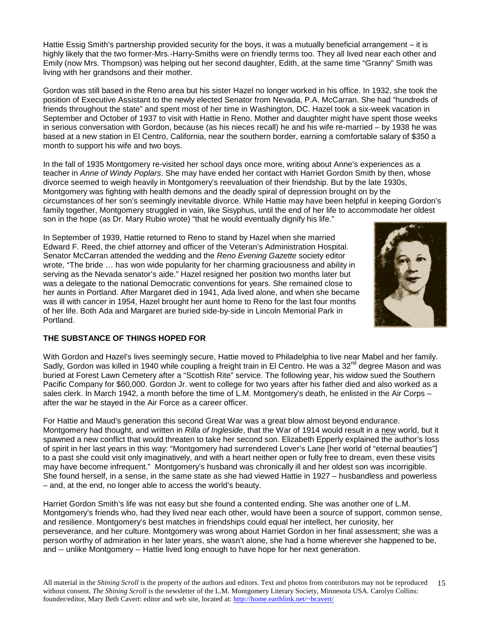Hattie Essig Smith's partnership provided security for the boys, it was a mutually beneficial arrangement – it is highly likely that the two former-Mrs.-Harry-Smiths were on friendly terms too. They all lived near each other and Emily (now Mrs. Thompson) was helping out her second daughter, Edith, at the same time "Granny" Smith was living with her grandsons and their mother.

Gordon was still based in the Reno area but his sister Hazel no longer worked in his office. In 1932, she took the position of Executive Assistant to the newly elected Senator from Nevada, P.A. McCarran. She had "hundreds of friends throughout the state" and spent most of her time in Washington, DC. Hazel took a six-week vacation in September and October of 1937 to visit with Hattie in Reno. Mother and daughter might have spent those weeks in serious conversation with Gordon, because (as his nieces recall) he and his wife re-married – by 1938 he was based at a new station in El Centro, California, near the southern border, earning a comfortable salary of \$350 a month to support his wife and two boys.

In the fall of 1935 Montgomery re-visited her school days once more, writing about Anne's experiences as a teacher in Anne of Windy Poplars. She may have ended her contact with Harriet Gordon Smith by then, whose divorce seemed to weigh heavily in Montgomery's reevaluation of their friendship. But by the late 1930s, Montgomery was fighting with health demons and the deadly spiral of depression brought on by the circumstances of her son's seemingly inevitable divorce. While Hattie may have been helpful in keeping Gordon's family together, Montgomery struggled in vain, like Sisyphus, until the end of her life to accommodate her oldest son in the hope (as Dr. Mary Rubio wrote) "that he would eventually dignify his life."

In September of 1939, Hattie returned to Reno to stand by Hazel when she married Edward F. Reed, the chief attorney and officer of the Veteran's Administration Hospital. Senator McCarran attended the wedding and the Reno Evening Gazette society editor wrote, "The bride … has won wide popularity for her charming graciousness and ability in serving as the Nevada senator's aide." Hazel resigned her position two months later but was a delegate to the national Democratic conventions for years. She remained close to her aunts in Portland. After Margaret died in 1941, Ada lived alone, and when she became was ill with cancer in 1954, Hazel brought her aunt home to Reno for the last four months of her life. Both Ada and Margaret are buried side-by-side in Lincoln Memorial Park in Portland.



## **THE SUBSTANCE OF THINGS HOPED FOR**

With Gordon and Hazel's lives seemingly secure, Hattie moved to Philadelphia to live near Mabel and her family. Sadly, Gordon was killed in 1940 while coupling a freight train in El Centro. He was a 32<sup>nd</sup> degree Mason and was buried at Forest Lawn Cemetery after a "Scottish Rite" service. The following year, his widow sued the Southern Pacific Company for \$60,000. Gordon Jr. went to college for two years after his father died and also worked as a sales clerk. In March 1942, a month before the time of L.M. Montgomery's death, he enlisted in the Air Corps – after the war he stayed in the Air Force as a career officer.

For Hattie and Maud's generation this second Great War was a great blow almost beyond endurance. Montgomery had thought, and written in Rilla of Ingleside, that the War of 1914 would result in a new world, but it spawned a new conflict that would threaten to take her second son. Elizabeth Epperly explained the author's loss of spirit in her last years in this way: "Montgomery had surrendered Lover's Lane [her world of "eternal beauties"] to a past she could visit only imaginatively, and with a heart neither open or fully free to dream, even these visits may have become infrequent." Montgomery's husband was chronically ill and her oldest son was incorrigible. She found herself, in a sense, in the same state as she had viewed Hattie in 1927 – husbandless and powerless – and, at the end, no longer able to access the world's beauty.

Harriet Gordon Smith's life was not easy but she found a contented ending. She was another one of L.M. Montgomery's friends who, had they lived near each other, would have been a source of support, common sense, and resilience. Montgomery's best matches in friendships could equal her intellect, her curiosity, her perseverance, and her culture. Montgomery was wrong about Harriet Gordon in her final assessment; she was a person worthy of admiration in her later years, she wasn't alone, she had a home wherever she happened to be, and -- unlike Montgomery -- Hattie lived long enough to have hope for her next generation.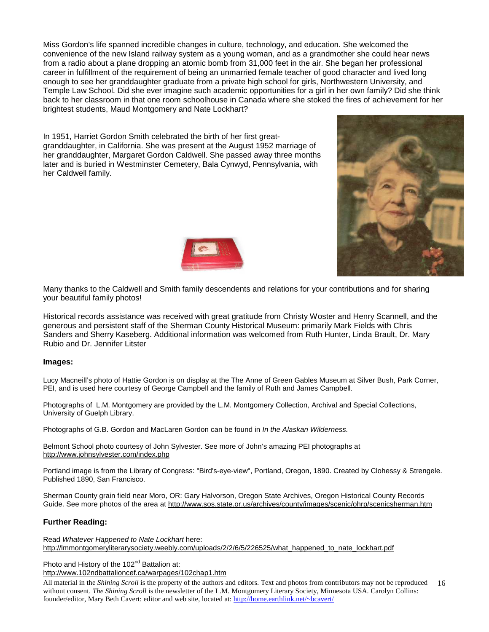Miss Gordon's life spanned incredible changes in culture, technology, and education. She welcomed the convenience of the new Island railway system as a young woman, and as a grandmother she could hear news from a radio about a plane dropping an atomic bomb from 31,000 feet in the air. She began her professional career in fulfillment of the requirement of being an unmarried female teacher of good character and lived long enough to see her granddaughter graduate from a private high school for girls, Northwestern University, and Temple Law School. Did she ever imagine such academic opportunities for a girl in her own family? Did she think back to her classroom in that one room schoolhouse in Canada where she stoked the fires of achievement for her brightest students, Maud Montgomery and Nate Lockhart?

In 1951, Harriet Gordon Smith celebrated the birth of her first greatgranddaughter, in California. She was present at the August 1952 marriage of her granddaughter, Margaret Gordon Caldwell. She passed away three months later and is buried in Westminster Cemetery, Bala Cynwyd, Pennsylvania, with her Caldwell family.





Many thanks to the Caldwell and Smith family descendents and relations for your contributions and for sharing your beautiful family photos!

Historical records assistance was received with great gratitude from Christy Woster and Henry Scannell, and the generous and persistent staff of the Sherman County Historical Museum: primarily Mark Fields with Chris Sanders and Sherry Kaseberg. Additional information was welcomed from Ruth Hunter, Linda Brault, Dr. Mary Rubio and Dr. Jennifer Litster

#### **Images:**

Lucy Macneill's photo of Hattie Gordon is on display at the The Anne of Green Gables Museum at Silver Bush, Park Corner, PEI, and is used here courtesy of George Campbell and the family of Ruth and James Campbell.

Photographs of L.M. Montgomery are provided by the L.M. Montgomery Collection, Archival and Special Collections, University of Guelph Library.

Photographs of G.B. Gordon and MacLaren Gordon can be found in In the Alaskan Wilderness.

Belmont School photo courtesy of John Sylvester. See more of John's amazing PEI photographs at http://www.johnsylvester.com/index.php

Portland image is from the Library of Congress: "Bird's-eye-view", Portland, Oregon, 1890. Created by Clohessy & Strengele. Published 1890, San Francisco.

Sherman County grain field near Moro, OR: Gary Halvorson, Oregon State Archives, Oregon Historical County Records Guide. See more photos of the area at http://www.sos.state.or.us/archives/county/images/scenic/ohrp/scenicsherman.htm

#### **Further Reading:**

Read Whatever Happened to Nate Lockhart here: http://lmmontgomeryliterarysociety.weebly.com/uploads/2/2/6/5/226525/what\_happened\_to\_nate\_lockhart.pdf

Photo and History of the 102<sup>nd</sup> Battalion at:

http://www.102ndbattalioncef.ca/warpages/102chap1.htm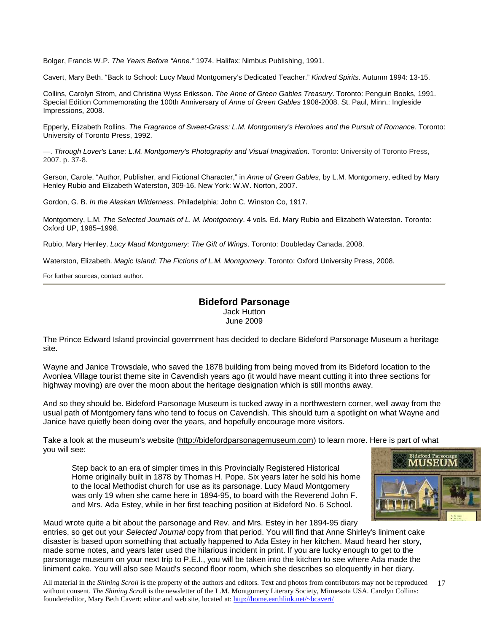Bolger, Francis W.P. The Years Before "Anne." 1974. Halifax: Nimbus Publishing, 1991.

Cavert, Mary Beth. "Back to School: Lucy Maud Montgomery's Dedicated Teacher." Kindred Spirits. Autumn 1994: 13-15.

Collins, Carolyn Strom, and Christina Wyss Eriksson. The Anne of Green Gables Treasury. Toronto: Penguin Books, 1991. Special Edition Commemorating the 100th Anniversary of Anne of Green Gables 1908-2008. St. Paul, Minn.: Ingleside Impressions, 2008.

Epperly, Elizabeth Rollins. The Fragrance of Sweet-Grass: L.M. Montgomery's Heroines and the Pursuit of Romance. Toronto: University of Toronto Press, 1992.

—. Through Lover's Lane: L.M. Montgomery's Photography and Visual Imagination. Toronto: University of Toronto Press, 2007. p. 37-8.

Gerson, Carole. "Author, Publisher, and Fictional Character," in Anne of Green Gables, by L.M. Montgomery, edited by Mary Henley Rubio and Elizabeth Waterston, 309-16. New York: W.W. Norton, 2007.

Gordon, G. B. In the Alaskan Wilderness. Philadelphia: John C. Winston Co, 1917.

Montgomery, L.M. The Selected Journals of L. M. Montgomery. 4 vols. Ed. Mary Rubio and Elizabeth Waterston. Toronto: Oxford UP, 1985–1998.

Rubio, Mary Henley. Lucy Maud Montgomery: The Gift of Wings. Toronto: Doubleday Canada, 2008.

Waterston, Elizabeth. Magic Island: The Fictions of L.M. Montgomery. Toronto: Oxford University Press, 2008.

For further sources, contact author.

# **Bideford Parsonage**

Jack Hutton June 2009

The Prince Edward Island provincial government has decided to declare Bideford Parsonage Museum a heritage site.

Wayne and Janice Trowsdale, who saved the 1878 building from being moved from its Bideford location to the Avonlea Village tourist theme site in Cavendish years ago (it would have meant cutting it into three sections for highway moving) are over the moon about the heritage designation which is still months away.

And so they should be. Bideford Parsonage Museum is tucked away in a northwestern corner, well away from the usual path of Montgomery fans who tend to focus on Cavendish. This should turn a spotlight on what Wayne and Janice have quietly been doing over the years, and hopefully encourage more visitors.

Take a look at the museum's website (http://bidefordparsonagemuseum.com) to learn more. Here is part of what you will see:

Step back to an era of simpler times in this Provincially Registered Historical Home originally built in 1878 by Thomas H. Pope. Six years later he sold his home to the local Methodist church for use as its parsonage. Lucy Maud Montgomery was only 19 when she came here in 1894-95, to board with the Reverend John F. and Mrs. Ada Estey, while in her first teaching position at Bideford No. 6 School.



Maud wrote quite a bit about the parsonage and Rev. and Mrs. Estey in her 1894-95 diary entries, so get out your Selected Journal copy from that period. You will find that Anne Shirley's liniment cake

disaster is based upon something that actually happened to Ada Estey in her kitchen. Maud heard her story, made some notes, and years later used the hilarious incident in print. If you are lucky enough to get to the parsonage museum on your next trip to P.E.I., you will be taken into the kitchen to see where Ada made the liniment cake. You will also see Maud's second floor room, which she describes so eloquently in her diary.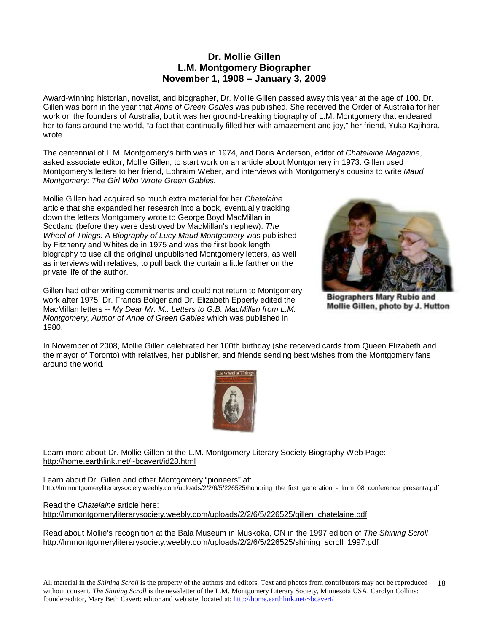# **Dr. Mollie Gillen L.M. Montgomery Biographer November 1, 1908 – January 3, 2009**

Award-winning historian, novelist, and biographer, Dr. Mollie Gillen passed away this year at the age of 100. Dr. Gillen was born in the year that Anne of Green Gables was published. She received the Order of Australia for her work on the founders of Australia, but it was her ground-breaking biography of L.M. Montgomery that endeared her to fans around the world, "a fact that continually filled her with amazement and joy," her friend, Yuka Kajihara, wrote.

The centennial of L.M. Montgomery's birth was in 1974, and Doris Anderson, editor of Chatelaine Magazine, asked associate editor, Mollie Gillen, to start work on an article about Montgomery in 1973. Gillen used Montgomery's letters to her friend, Ephraim Weber, and interviews with Montgomery's cousins to write Maud Montgomery: The Girl Who Wrote Green Gables.

Mollie Gillen had acquired so much extra material for her Chatelaine article that she expanded her research into a book, eventually tracking down the letters Montgomery wrote to George Boyd MacMillan in Scotland (before they were destroyed by MacMillan's nephew). The Wheel of Things: A Biography of Lucy Maud Montgomery was published by Fitzhenry and Whiteside in 1975 and was the first book length biography to use all the original unpublished Montgomery letters, as well as interviews with relatives, to pull back the curtain a little farther on the private life of the author.

Gillen had other writing commitments and could not return to Montgomery work after 1975. Dr. Francis Bolger and Dr. Elizabeth Epperly edited the MacMillan letters -- My Dear Mr. M.: Letters to G.B. MacMillan from L.M. Montgomery, Author of Anne of Green Gables which was published in 1980.



**Biographers Mary Rubio and** Mollie Gillen, photo by J. Hutton

In November of 2008, Mollie Gillen celebrated her 100th birthday (she received cards from Queen Elizabeth and the mayor of Toronto) with relatives, her publisher, and friends sending best wishes from the Montgomery fans around the world.



Learn more about Dr. Mollie Gillen at the L.M. Montgomery Literary Society Biography Web Page: http://home.earthlink.net/~bcavert/id28.html

Learn about Dr. Gillen and other Montgomery "pioneers" at: http://lmmontgomeryliterarysociety.weebly.com/uploads/2/2/6/5/226525/honoring\_the\_first\_generation\_-\_lmm\_08\_conference\_presenta.pdf

Read the Chatelaine article here: http://lmmontgomeryliterarysociety.weebly.com/uploads/2/2/6/5/226525/gillen\_chatelaine.pdf

Read about Mollie's recognition at the Bala Museum in Muskoka, ON in the 1997 edition of The Shining Scroll http://lmmontgomeryliterarysociety.weebly.com/uploads/2/2/6/5/226525/shining\_scroll\_1997.pdf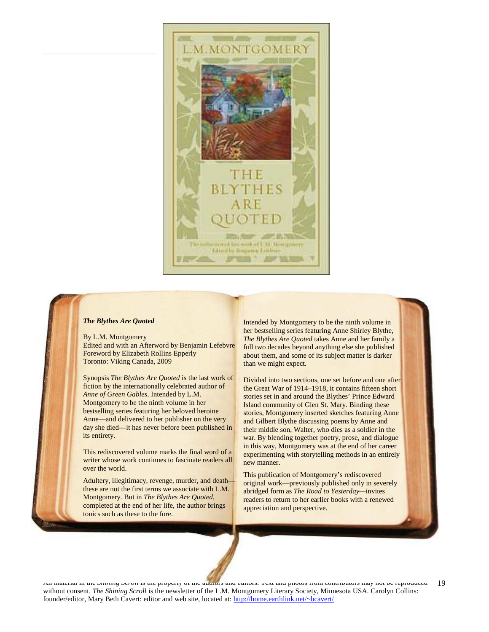

#### *The Blythes Are Quoted*

By L.M. Montgomery Edited and with an Afterword by Benjamin Lefebvre Foreword by Elizabeth Rollins Epperly Toronto: Viking Canada, 2009

Synopsis *The Blythes Are Quoted* is the last work of fiction by the internationally celebrated author of *Anne of Green Gables*. Intended by L.M. Montgomery to be the ninth volume in her bestselling series featuring her beloved heroine Anne—and delivered to her publisher on the very day she died—it has never before been published in its entirety.

This rediscovered volume marks the final word of a writer whose work continues to fascinate readers all over the world.

Adultery, illegitimacy, revenge, murder, and death these are not the first terms we associate with L.M. Montgomery. But in *The Blythes Are Quoted*, completed at the end of her life, the author brings topics such as these to the fore.

Intended by Montgomery to be the ninth volume in her bestselling series featuring Anne Shirley Blythe, *The Blythes Are Quoted* takes Anne and her family a full two decades beyond anything else she published about them, and some of its subject matter is darker than we might expect.

Divided into two sections, one set before and one after the Great War of 1914–1918, it contains fifteen short stories set in and around the Blythes' Prince Edward Island community of Glen St. Mary. Binding these stories, Montgomery inserted sketches featuring Anne and Gilbert Blythe discussing poems by Anne and their middle son, Walter, who dies as a soldier in the war. By blending together poetry, prose, and dialogue in this way, Montgomery was at the end of her career experimenting with storytelling methods in an entirely new manner.

This publication of Montgomery's rediscovered original work—previously published only in severely abridged form as *The Road to Yesterday—*invites readers to return to her earlier books with a renewed appreciation and perspective.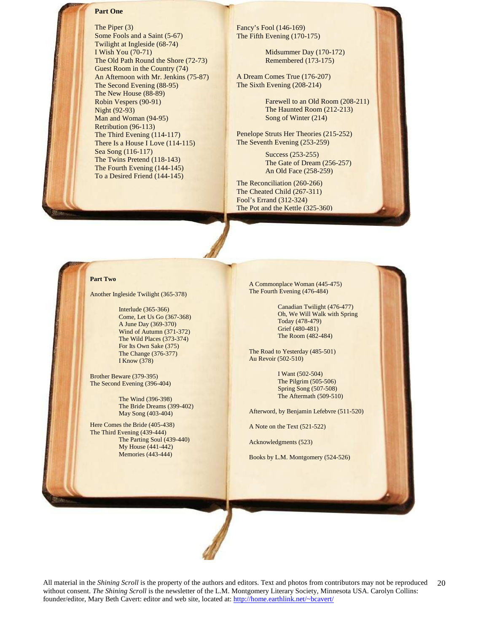#### **Part One**

The Piper (3) Some Fools and a Saint (5-67) Twilight at Ingleside (68-74) I Wish You (70-71) The Old Path Round the Shore (72-73) Guest Room in the Country (74) An Afternoon with Mr. Jenkins (75-87) The Second Evening (88-95) The New House (88-89) Robin Vespers (90-91) Night (92-93) Man and Woman (94-95) Retribution (96-113) The Third Evening (114-117) There Is a House I Love (114-115) Sea Song (116-117) The Twins Pretend (118-143) The Fourth Evening (144-145) To a Desired Friend (144-145)

Fancy's Fool (146-169) The Fifth Evening (170-175)

> Midsummer Day (170-172) Remembered (173-175)

A Dream Comes True (176-207) The Sixth Evening (208-214)

> Farewell to an Old Room (208-211) The Haunted Room (212-213) Song of Winter (214)

Penelope Struts Her Theories (215-252) The Seventh Evening (253-259)

> Success (253-255) The Gate of Dream (256-257) An Old Face (258-259)

The Reconciliation (260-266) The Cheated Child (267-311) Fool's Errand (312-324) The Pot and the Kettle (325-360)

#### **Part Two**

Another Ingleside Twilight (365-378)

Interlude (365-366) Come, Let Us Go (367-368) A June Day (369-370) Wind of Autumn (371-372) The Wild Places (373-374) For Its Own Sake (375) The Change (376-377) I Know (378)

Brother Beware (379-395) The Second Evening (396-404)

> The Wind (396-398) The Bride Dreams (399-402) May Song (403-404)

Here Comes the Bride (405-438) The Third Evening (439-444) The Parting Soul (439-440) My House (441-442) Memories (443-444)

A Commonplace Woman (445-475) The Fourth Evening (476-484)

> Canadian Twilight (476-477) Oh, We Will Walk with Spring Today (478-479) Grief (480-481) The Room (482-484)

The Road to Yesterday (485-501) Au Revoir (502-510)

> I Want (502-504) The Pilgrim (505-506) Spring Song (507-508) The Aftermath (509-510)

Afterword, by Benjamin Lefebvre (511-520)

A Note on the Text (521-522)

Acknowledgments (523)

Books by L.M. Montgomery (524-526)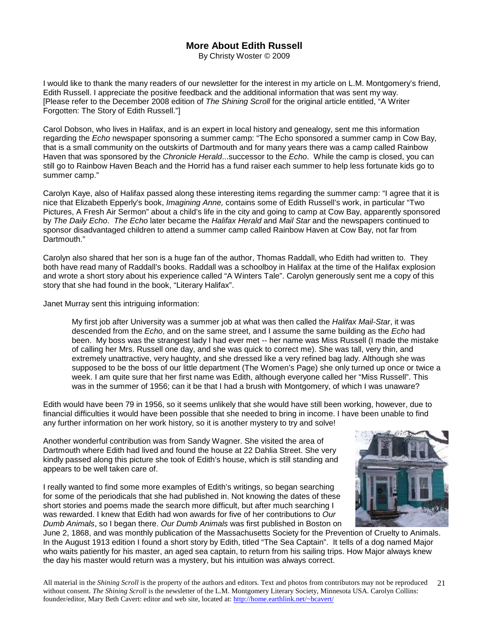# **More About Edith Russell**

By Christy Woster © 2009

I would like to thank the many readers of our newsletter for the interest in my article on L.M. Montgomery's friend, Edith Russell. I appreciate the positive feedback and the additional information that was sent my way. [Please refer to the December 2008 edition of The Shining Scroll for the original article entitled, "A Writer Forgotten: The Story of Edith Russell."]

Carol Dobson, who lives in Halifax, and is an expert in local history and genealogy, sent me this information regarding the Echo newspaper sponsoring a summer camp: "The Echo sponsored a summer camp in Cow Bay, that is a small community on the outskirts of Dartmouth and for many years there was a camp called Rainbow Haven that was sponsored by the Chronicle Herald...successor to the Echo. While the camp is closed, you can still go to Rainbow Haven Beach and the Horrid has a fund raiser each summer to help less fortunate kids go to summer camp."

Carolyn Kaye, also of Halifax passed along these interesting items regarding the summer camp: "I agree that it is nice that Elizabeth Epperly's book, Imagining Anne, contains some of Edith Russell's work, in particular "Two Pictures, A Fresh Air Sermon" about a child's life in the city and going to camp at Cow Bay, apparently sponsored by The Daily Echo. The Echo later became the Halifax Herald and Mail Star and the newspapers continued to sponsor disadvantaged children to attend a summer camp called Rainbow Haven at Cow Bay, not far from Dartmouth."

Carolyn also shared that her son is a huge fan of the author, Thomas Raddall, who Edith had written to. They both have read many of Raddall's books. Raddall was a schoolboy in Halifax at the time of the Halifax explosion and wrote a short story about his experience called "A Winters Tale". Carolyn generously sent me a copy of this story that she had found in the book, "Literary Halifax".

Janet Murray sent this intriguing information:

My first job after University was a summer job at what was then called the *Halifax Mail-Star*, it was descended from the Echo, and on the same street, and I assume the same building as the Echo had been. My boss was the strangest lady I had ever met -- her name was Miss Russell (I made the mistake of calling her Mrs. Russell one day, and she was quick to correct me). She was tall, very thin, and extremely unattractive, very haughty, and she dressed like a very refined bag lady. Although she was supposed to be the boss of our little department (The Women's Page) she only turned up once or twice a week. I am quite sure that her first name was Edith, although everyone called her "Miss Russell". This was in the summer of 1956; can it be that I had a brush with Montgomery, of which I was unaware?

Edith would have been 79 in 1956, so it seems unlikely that she would have still been working, however, due to financial difficulties it would have been possible that she needed to bring in income. I have been unable to find any further information on her work history, so it is another mystery to try and solve!

Another wonderful contribution was from Sandy Wagner. She visited the area of Dartmouth where Edith had lived and found the house at 22 Dahlia Street. She very kindly passed along this picture she took of Edith's house, which is still standing and appears to be well taken care of.

I really wanted to find some more examples of Edith's writings, so began searching for some of the periodicals that she had published in. Not knowing the dates of these short stories and poems made the search more difficult, but after much searching I was rewarded. I knew that Edith had won awards for five of her contributions to Our Dumb Animals, so I began there. Our Dumb Animals was first published in Boston on



June 2, 1868, and was monthly publication of the Massachusetts Society for the Prevention of Cruelty to Animals. In the August 1913 edition I found a short story by Edith, titled "The Sea Captain". It tells of a dog named Major who waits patiently for his master, an aged sea captain, to return from his sailing trips. How Major always knew the day his master would return was a mystery, but his intuition was always correct.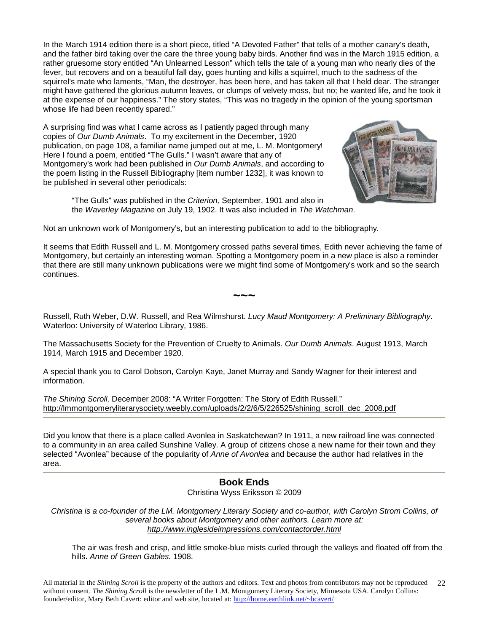In the March 1914 edition there is a short piece, titled "A Devoted Father" that tells of a mother canary's death, and the father bird taking over the care the three young baby birds. Another find was in the March 1915 edition, a rather gruesome story entitled "An Unlearned Lesson" which tells the tale of a young man who nearly dies of the fever, but recovers and on a beautiful fall day, goes hunting and kills a squirrel, much to the sadness of the squirrel's mate who laments, "Man, the destroyer, has been here, and has taken all that I held dear. The stranger might have gathered the glorious autumn leaves, or clumps of velvety moss, but no; he wanted life, and he took it at the expense of our happiness." The story states, "This was no tragedy in the opinion of the young sportsman whose life had been recently spared."

A surprising find was what I came across as I patiently paged through many copies of Our Dumb Animals. To my excitement in the December, 1920 publication, on page 108, a familiar name jumped out at me, L. M. Montgomery! Here I found a poem, entitled "The Gulls." I wasn't aware that any of Montgomery's work had been published in Our Dumb Animals, and according to the poem listing in the Russell Bibliography [item number 1232], it was known to be published in several other periodicals:



"The Gulls" was published in the Criterion, September, 1901 and also in the Waverley Magazine on July 19, 1902. It was also included in The Watchman.

Not an unknown work of Montgomery's, but an interesting publication to add to the bibliography.

It seems that Edith Russell and L. M. Montgomery crossed paths several times, Edith never achieving the fame of Montgomery, but certainly an interesting woman. Spotting a Montgomery poem in a new place is also a reminder that there are still many unknown publications were we might find some of Montgomery's work and so the search continues.

**~~~**

Russell, Ruth Weber, D.W. Russell, and Rea Wilmshurst. Lucy Maud Montgomery: A Preliminary Bibliography. Waterloo: University of Waterloo Library, 1986.

The Massachusetts Society for the Prevention of Cruelty to Animals. Our Dumb Animals. August 1913, March 1914, March 1915 and December 1920.

A special thank you to Carol Dobson, Carolyn Kaye, Janet Murray and Sandy Wagner for their interest and information.

The Shining Scroll. December 2008: "A Writer Forgotten: The Story of Edith Russell." http://lmmontgomeryliterarysociety.weebly.com/uploads/2/2/6/5/226525/shining\_scroll\_dec\_2008.pdf

Did you know that there is a place called Avonlea in Saskatchewan? In 1911, a new railroad line was connected to a community in an area called Sunshine Valley. A group of citizens chose a new name for their town and they selected "Avonlea" because of the popularity of Anne of Avonlea and because the author had relatives in the area.

# **Book Ends**

Christina Wyss Eriksson © 2009

Christina is a co-founder of the LM. Montgomery Literary Society and co-author, with Carolyn Strom Collins, of several books about Montgomery and other authors. Learn more at: http://www.inglesideimpressions.com/contactorder.html

The air was fresh and crisp, and little smoke-blue mists curled through the valleys and floated off from the hills. Anne of Green Gables. 1908.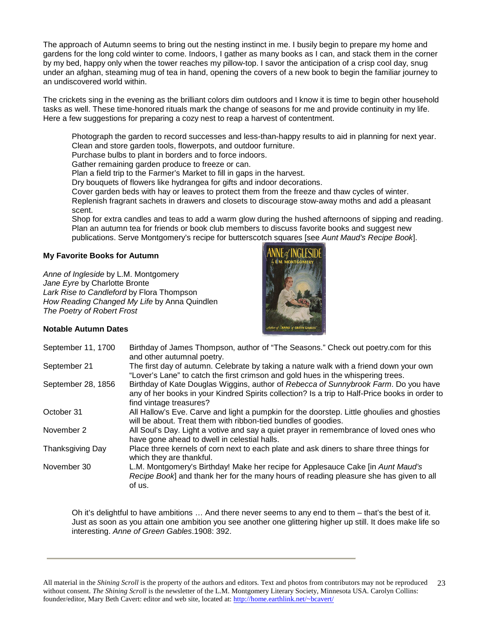The approach of Autumn seems to bring out the nesting instinct in me. I busily begin to prepare my home and gardens for the long cold winter to come. Indoors, I gather as many books as I can, and stack them in the corner by my bed, happy only when the tower reaches my pillow-top. I savor the anticipation of a crisp cool day, snug under an afghan, steaming mug of tea in hand, opening the covers of a new book to begin the familiar journey to an undiscovered world within.

The crickets sing in the evening as the brilliant colors dim outdoors and I know it is time to begin other household tasks as well. These time-honored rituals mark the change of seasons for me and provide continuity in my life. Here a few suggestions for preparing a cozy nest to reap a harvest of contentment.

Photograph the garden to record successes and less-than-happy results to aid in planning for next year. Clean and store garden tools, flowerpots, and outdoor furniture.

Purchase bulbs to plant in borders and to force indoors.

Gather remaining garden produce to freeze or can.

Plan a field trip to the Farmer's Market to fill in gaps in the harvest.

Dry bouquets of flowers like hydrangea for gifts and indoor decorations.

Cover garden beds with hay or leaves to protect them from the freeze and thaw cycles of winter. Replenish fragrant sachets in drawers and closets to discourage stow-away moths and add a pleasant scent.

Shop for extra candles and teas to add a warm glow during the hushed afternoons of sipping and reading. Plan an autumn tea for friends or book club members to discuss favorite books and suggest new publications. Serve Montgomery's recipe for butterscotch squares [see Aunt Maud's Recipe Book].

### **My Favorite Books for Autumn**

Anne of Ingleside by L.M. Montgomery Jane Eyre by Charlotte Bronte Lark Rise to Candleford by Flora Thompson How Reading Changed My Life by Anna Quindlen The Poetry of Robert Frost



#### **Notable Autumn Dates**

| Birthday of James Thompson, author of "The Seasons." Check out poetry.com for this<br>and other autumnal poetry.                                                                                                 |
|------------------------------------------------------------------------------------------------------------------------------------------------------------------------------------------------------------------|
| The first day of autumn. Celebrate by taking a nature walk with a friend down your own<br>"Lover's Lane" to catch the first crimson and gold hues in the whispering trees.                                       |
| Birthday of Kate Douglas Wiggins, author of Rebecca of Sunnybrook Farm. Do you have<br>any of her books in your Kindred Spirits collection? Is a trip to Half-Price books in order to<br>find vintage treasures? |
| All Hallow's Eve. Carve and light a pumpkin for the doorstep. Little ghoulies and ghosties<br>will be about. Treat them with ribbon-tied bundles of goodies.                                                     |
| All Soul's Day. Light a votive and say a quiet prayer in remembrance of loved ones who<br>have gone ahead to dwell in celestial halls.                                                                           |
| Place three kernels of corn next to each plate and ask diners to share three things for<br>which they are thankful.                                                                                              |
| L.M. Montgomery's Birthday! Make her recipe for Applesauce Cake [in Aunt Maud's<br>Recipe Book] and thank her for the many hours of reading pleasure she has given to all<br>of us.                              |
|                                                                                                                                                                                                                  |

Oh it's delightful to have ambitions … And there never seems to any end to them – that's the best of it. Just as soon as you attain one ambition you see another one glittering higher up still. It does make life so interesting. Anne of Green Gables.1908: 392.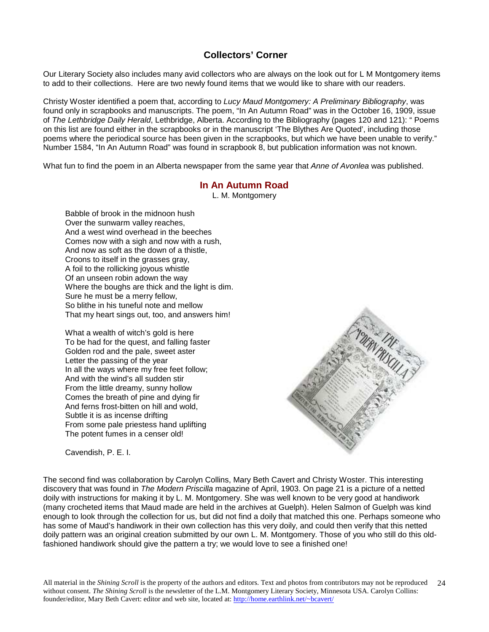# **Collectors' Corner**

Our Literary Society also includes many avid collectors who are always on the look out for L M Montgomery items to add to their collections. Here are two newly found items that we would like to share with our readers.

Christy Woster identified a poem that, according to Lucy Maud Montgomery: A Preliminary Bibliography, was found only in scrapbooks and manuscripts. The poem, "In An Autumn Road" was in the October 16, 1909, issue of The Lethbridge Daily Herald, Lethbridge, Alberta. According to the Bibliography (pages 120 and 121): " Poems on this list are found either in the scrapbooks or in the manuscript 'The Blythes Are Quoted', including those poems where the periodical source has been given in the scrapbooks, but which we have been unable to verify." Number 1584, "In An Autumn Road" was found in scrapbook 8, but publication information was not known.

What fun to find the poem in an Alberta newspaper from the same year that Anne of Avonlea was published.

## **In An Autumn Road**

L. M. Montgomery

 Babble of brook in the midnoon hush Over the sunwarm valley reaches, And a west wind overhead in the beeches Comes now with a sigh and now with a rush, And now as soft as the down of a thistle, Croons to itself in the grasses gray, A foil to the rollicking joyous whistle Of an unseen robin adown the way Where the boughs are thick and the light is dim. Sure he must be a merry fellow, So blithe in his tuneful note and mellow That my heart sings out, too, and answers him!

 What a wealth of witch's gold is here To be had for the quest, and falling faster Golden rod and the pale, sweet aster Letter the passing of the year In all the ways where my free feet follow; And with the wind's all sudden stir From the little dreamy, sunny hollow Comes the breath of pine and dying fir And ferns frost-bitten on hill and wold, Subtle it is as incense drifting From some pale priestess hand uplifting The potent fumes in a censer old!



Cavendish, P. E. I.

The second find was collaboration by Carolyn Collins, Mary Beth Cavert and Christy Woster. This interesting discovery that was found in The Modern Priscilla magazine of April, 1903. On page 21 is a picture of a netted doily with instructions for making it by L. M. Montgomery. She was well known to be very good at handiwork (many crocheted items that Maud made are held in the archives at Guelph). Helen Salmon of Guelph was kind enough to look through the collection for us, but did not find a doily that matched this one. Perhaps someone who has some of Maud's handiwork in their own collection has this very doily, and could then verify that this netted doily pattern was an original creation submitted by our own L. M. Montgomery. Those of you who still do this oldfashioned handiwork should give the pattern a try; we would love to see a finished one!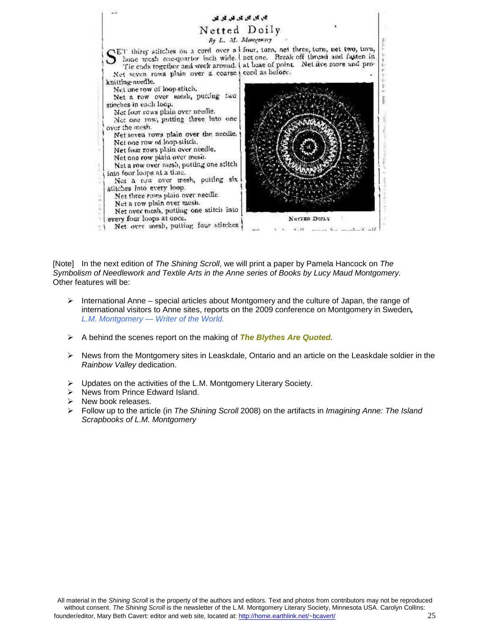

[Note] In the next edition of The Shining Scroll, we will print a paper by Pamela Hancock on The Symbolism of Needlework and Textile Arts in the Anne series of Books by Lucy Maud Montgomery. Other features will be:

- $\triangleright$  International Anne special articles about Montgomery and the culture of Japan, the range of international visitors to Anne sites, reports on the 2009 conference on Montgomery in Sweden**,**  L.M. Montgomery — Writer of the World.
- A behind the scenes report on the making of **The Blythes Are Quoted**.
- $\triangleright$  News from the Montgomery sites in Leaskdale, Ontario and an article on the Leaskdale soldier in the Rainbow Valley dedication.
- Updates on the activities of the L.M. Montgomery Literary Society.
- $\triangleright$  News from Prince Edward Island.
- $\triangleright$  New book releases.
- Follow up to the article (in The Shining Scroll 2008) on the artifacts in Imagining Anne: The Island Scrapbooks of L.M. Montgomery